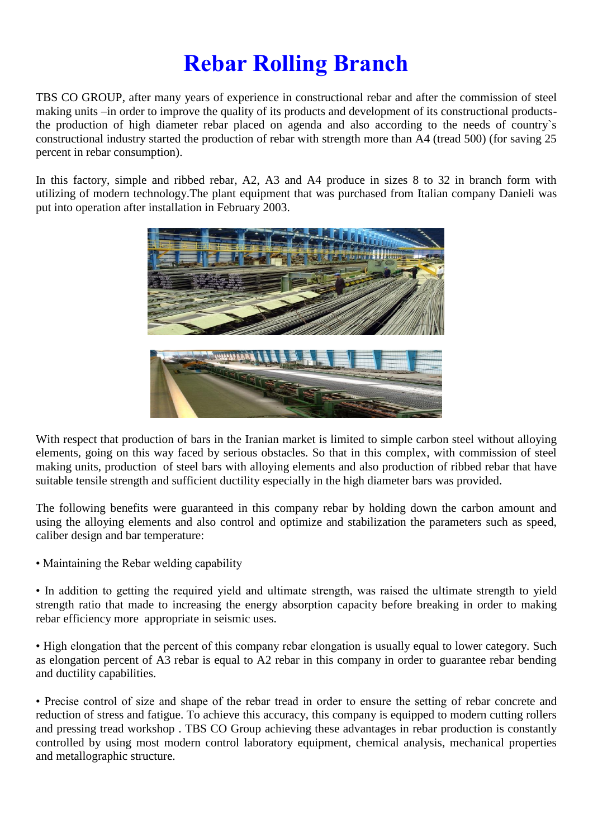## **Rebar Rolling Branch**

TBS CO GROUP, after many years of experience in constructional rebar and after the commission of steel making units –in order to improve the quality of its products and development of its constructional productsthe production of high diameter rebar placed on agenda and also according to the needs of country`s constructional industry started the production of rebar with strength more than A4 (tread 500) (for saving 25 percent in rebar consumption).

In this factory, simple and ribbed rebar, A2, A3 and A4 produce in sizes 8 to 32 in branch form with utilizing of modern technology.The plant equipment that was purchased from Italian company Danieli was put into operation after installation in February 2003.



With respect that production of bars in the Iranian market is limited to simple carbon steel without alloying elements, going on this way faced by serious obstacles. So that in this complex, with commission of steel making units, production of steel bars with alloying elements and also production of ribbed rebar that have suitable tensile strength and sufficient ductility especially in the high diameter bars was provided.

The following benefits were guaranteed in this company rebar by holding down the carbon amount and using the alloying elements and also control and optimize and stabilization the parameters such as speed, caliber design and bar temperature:

• Maintaining the Rebar welding capability

• In addition to getting the required yield and ultimate strength, was raised the ultimate strength to yield strength ratio that made to increasing the energy absorption capacity before breaking in order to making rebar efficiency more appropriate in seismic uses.

• High elongation that the percent of this company rebar elongation is usually equal to lower category. Such as elongation percent of A3 rebar is equal to A2 rebar in this company in order to guarantee rebar bending and ductility capabilities.

• Precise control of size and shape of the rebar tread in order to ensure the setting of rebar concrete and reduction of stress and fatigue. To achieve this accuracy, this company is equipped to modern cutting rollers and pressing tread workshop . TBS CO Group achieving these advantages in rebar production is constantly controlled by using most modern control laboratory equipment, chemical analysis, mechanical properties and metallographic structure.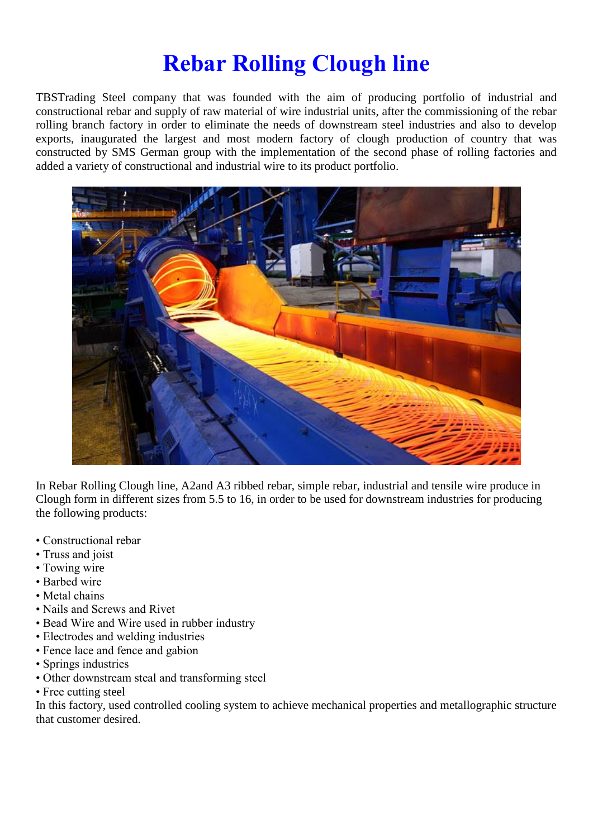### **Rebar Rolling Clough line**

TBSTrading Steel company that was founded with the aim of producing portfolio of industrial and constructional rebar and supply of raw material of wire industrial units, after the commissioning of the rebar rolling branch factory in order to eliminate the needs of downstream steel industries and also to develop exports, inaugurated the largest and most modern factory of clough production of country that was constructed by SMS German group with the implementation of the second phase of rolling factories and added a variety of constructional and industrial wire to its product portfolio.



In Rebar Rolling Clough line, A2and A3 ribbed rebar, simple rebar, industrial and tensile wire produce in Clough form in different sizes from 5.5 to 16, in order to be used for downstream industries for producing the following products:

- Constructional rebar
- Truss and joist
- Towing wire
- Barbed wire
- Metal chains
- Nails and Screws and Rivet
- Bead Wire and Wire used in rubber industry
- Electrodes and welding industries
- Fence lace and fence and gabion
- Springs industries
- Other downstream steal and transforming steel
- Free cutting steel

In this factory, used controlled cooling system to achieve mechanical properties and metallographic structure that customer desired.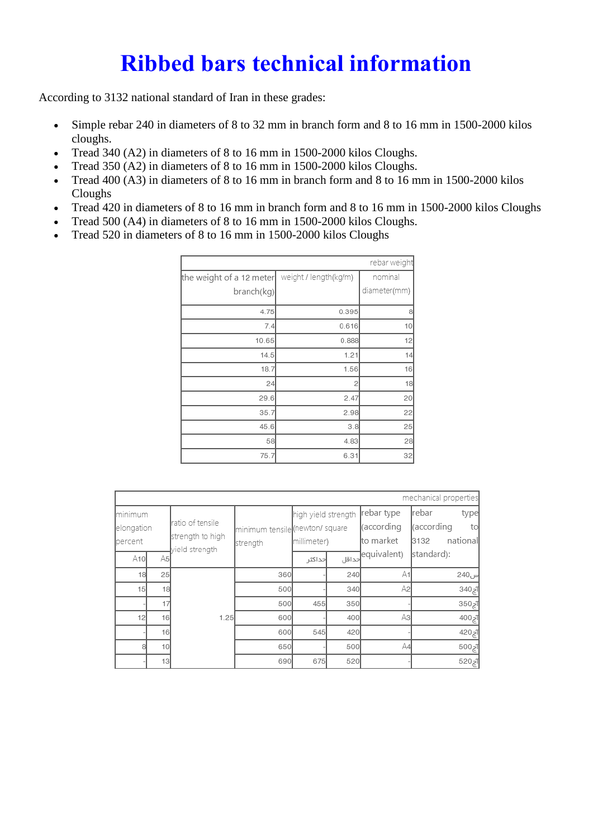### **Ribbed bars technical information**

According to 3132 national standard of Iran in these grades:

- Simple rebar 240 in diameters of 8 to 32 mm in branch form and 8 to 16 mm in 1500-2000 kilos cloughs.
- Tread 340 (A2) in diameters of 8 to 16 mm in 1500-2000 kilos Cloughs.
- Tread 350 (A2) in diameters of 8 to 16 mm in 1500-2000 kilos Cloughs.
- Tread 400 (A3) in diameters of 8 to 16 mm in branch form and 8 to 16 mm in 1500-2000 kilos Cloughs
- Tread 420 in diameters of 8 to 16 mm in branch form and 8 to 16 mm in 1500-2000 kilos Cloughs
- Tread 500 (A4) in diameters of 8 to 16 mm in 1500-2000 kilos Cloughs.
- Tread 520 in diameters of 8 to 16 mm in 1500-2000 kilos Cloughs

|                          |                       | rebar weight |
|--------------------------|-----------------------|--------------|
| the weight of a 12 meter | weight / length(kg/m) | nominal      |
| branch(kg)               |                       | diameter(mm) |
| 4.75                     | 0.395                 | 8            |
| 7.4                      | 0.616                 | 10           |
| 10.65                    | 0.888                 | 12           |
| 14.5                     | 1.21                  | 14           |
| 18.7                     | 1.56                  | 16           |
| 24                       | 2                     | 18           |
| 29.6                     | 2.47                  | 20           |
| 35.7                     | 2.98                  | 22           |
| 45.6                     | 3.8                   | 25           |
| 58                       | 4.83                  | 28           |
| 75.7                     | 6.31                  | 32           |

|                                   |                 |                                                        |                                            |                                    |     |                                       | mechanical properties                                  |
|-----------------------------------|-----------------|--------------------------------------------------------|--------------------------------------------|------------------------------------|-----|---------------------------------------|--------------------------------------------------------|
| Iminimum<br>elongation<br>percent |                 | ratio of tensile<br>strength to high<br>yield strength | minimum tensile (newton/square<br>strength | high yield strength<br>millimeter) |     | rebar type<br>(according<br>to market | Irebar<br>type<br>(according<br>to<br>national<br>3132 |
| A10                               | A5              |                                                        |                                            | حداكثر                             |     | equivalent)<br>حداقل                  | standard):                                             |
| 18                                | 25              |                                                        | 360                                        |                                    | 240 | A1                                    | س240                                                   |
| 15                                | 18              |                                                        | 500                                        |                                    | 340 | A2                                    | 340zT                                                  |
|                                   | 17              |                                                        | 500                                        | 455                                | 350 |                                       | 350zT                                                  |
| 12                                | 16              | 1.25                                                   | 600                                        |                                    | 400 | Aз                                    | 1ج004                                                  |
|                                   | 16              |                                                        | 600                                        | 545                                | 420 |                                       | ¶ج420                                                  |
|                                   | 10 <sup>1</sup> |                                                        | 650                                        |                                    | 500 | A4                                    | $500 \, \text{F}$                                      |
|                                   | 13              |                                                        | 690                                        | 675                                | 520 |                                       | آج520                                                  |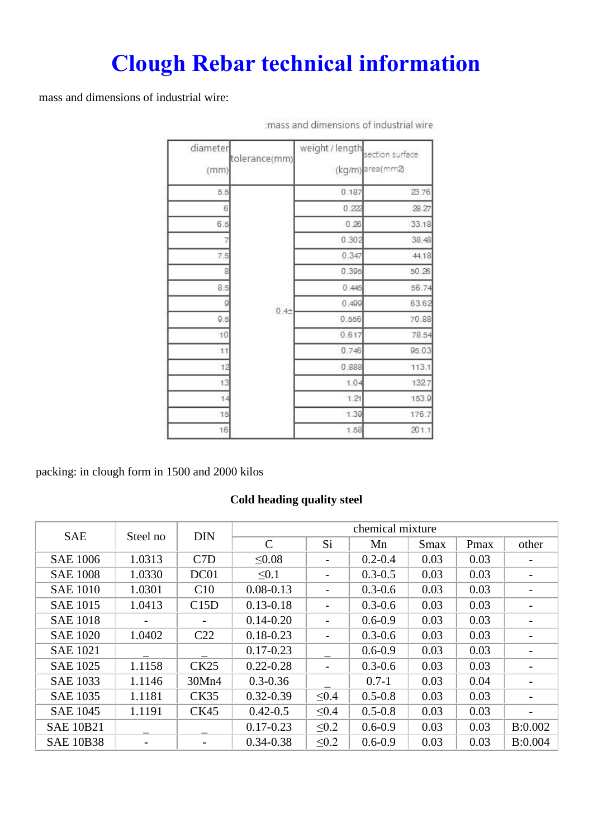# **Clough Rebar technical information**

mass and dimensions of industrial wire:

| diameter<br>(mm) | tolerance(mm) | weight / length | section surface<br>(kg/m) area(mm2) |
|------------------|---------------|-----------------|-------------------------------------|
| 5.5              |               | 0.187           | 23.76                               |
| 6                |               | 0.222           | 28.27                               |
| 6.5              |               | 0.26            | 33.18                               |
|                  |               | 0.302           | 38.48                               |
| 7.5              |               | 0.347           | 44.18                               |
| 8                |               | 0.395           | 50.26                               |
| 8.5              |               | 0.445           | 56.74                               |
| 9                |               | 0.499           | 63.62                               |
| 9.5              | $0.4 +$       | 0.556           | 70.88                               |
| 10               |               | 0.617           | 78.54                               |
| 11               |               | 0.746           | 95.03                               |
| 12               |               | 0.888           | 113.1                               |
| 13               |               | 1.04            | 132.7                               |
| 14               |               | 1.21            | 153.9                               |
| 15               |               | 1.39            | 176.7                               |
| 16               |               | 1.58            | 201.1                               |

:mass and dimensions of industrial wire

packing: in clough form in 1500 and 2000 kilos

#### **Cold heading quality steel**

| <b>SAE</b>       | Steel no | <b>DIN</b>       |               |            | chemical mixture |             |      |         |
|------------------|----------|------------------|---------------|------------|------------------|-------------|------|---------|
|                  |          |                  | $\mathcal{C}$ | Si         | Mn               | <b>Smax</b> | Pmax | other   |
| <b>SAE 1006</b>  | 1.0313   | C <sub>7</sub> D | $\leq 0.08$   |            | $0.2 - 0.4$      | 0.03        | 0.03 |         |
| <b>SAE 1008</b>  | 1.0330   | DC01             | $\leq 0.1$    |            | $0.3 - 0.5$      | 0.03        | 0.03 |         |
| <b>SAE 1010</b>  | 1.0301   | C10              | $0.08 - 0.13$ |            | $0.3 - 0.6$      | 0.03        | 0.03 |         |
| <b>SAE 1015</b>  | 1.0413   | C15D             | $0.13 - 0.18$ |            | $0.3 - 0.6$      | 0.03        | 0.03 |         |
| <b>SAE 1018</b>  |          | Ξ.               | $0.14 - 0.20$ |            | $0.6 - 0.9$      | 0.03        | 0.03 |         |
| <b>SAE 1020</b>  | 1.0402   | C <sub>22</sub>  | $0.18 - 0.23$ |            | $0.3 - 0.6$      | 0.03        | 0.03 |         |
| <b>SAE 1021</b>  |          |                  | $0.17 - 0.23$ |            | $0.6 - 0.9$      | 0.03        | 0.03 |         |
| <b>SAE 1025</b>  | 1.1158   | CK25             | $0.22 - 0.28$ |            | $0.3 - 0.6$      | 0.03        | 0.03 |         |
| <b>SAE 1033</b>  | 1.1146   | 30Mn4            | $0.3 - 0.36$  |            | $0.7 - 1$        | 0.03        | 0.04 |         |
| <b>SAE 1035</b>  | 1.1181   | <b>CK35</b>      | $0.32 - 0.39$ | $\leq 0.4$ | $0.5 - 0.8$      | 0.03        | 0.03 |         |
| <b>SAE 1045</b>  | 1.1191   | <b>CK45</b>      | $0.42 - 0.5$  | $\leq 0.4$ | $0.5 - 0.8$      | 0.03        | 0.03 |         |
| <b>SAE 10B21</b> |          |                  | $0.17 - 0.23$ | $\leq 0.2$ | $0.6 - 0.9$      | 0.03        | 0.03 | B:0.002 |
| <b>SAE 10B38</b> |          |                  | $0.34 - 0.38$ | $\leq 0.2$ | $0.6 - 0.9$      | 0.03        | 0.03 | B:0.004 |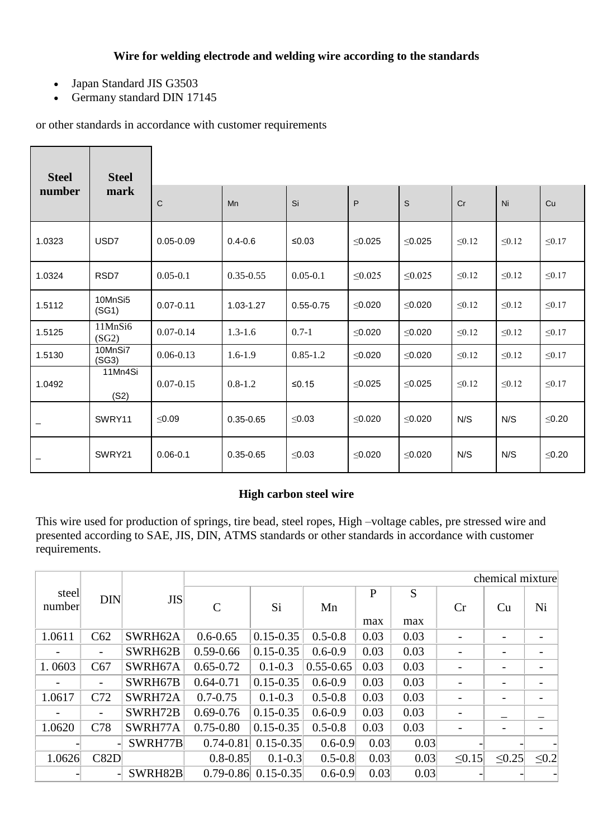#### **Wire for welding electrode and welding wire according to the standards**

- Japan Standard JIS G3503
- Germany standard DIN 17145

or other standards in accordance with customer requirements

| <b>Steel</b> | <b>Steel</b>     |               |               |               |              |              |             |             |             |
|--------------|------------------|---------------|---------------|---------------|--------------|--------------|-------------|-------------|-------------|
| number       | mark             | $\mathsf{C}$  | Mn            | Si            | P            | S            | Cr          | Ni          | Cu          |
| 1.0323       | USD7             | $0.05 - 0.09$ | $0.4 - 0.6$   | ≤0.03         | $\leq 0.025$ | $\leq$ 0.025 | $\leq 0.12$ | $\leq 0.12$ | $\leq 0.17$ |
| 1.0324       | RSD7             | $0.05 - 0.1$  | $0.35 - 0.55$ | $0.05 - 0.1$  | $\leq 0.025$ | $\leq 0.025$ | $\leq 0.12$ | $\leq 0.12$ | $\leq 0.17$ |
| 1.5112       | 10MnSi5<br>(SG1) | $0.07 - 0.11$ | 1.03-1.27     | $0.55 - 0.75$ | $\leq 0.020$ | ≤0.020       | $\leq 0.12$ | $\leq 0.12$ | $\leq 0.17$ |
| 1.5125       | 11MnSi6<br>(SG2) | $0.07 - 0.14$ | $1.3 - 1.6$   | $0.7 - 1$     | $\leq 0.020$ | $≤0.020$     | $\leq 0.12$ | $\leq 0.12$ | $\leq 0.17$ |
| 1.5130       | 10MnSi7<br>(SG3) | $0.06 - 0.13$ | $1.6 - 1.9$   | $0.85 - 1.2$  | $≤0.020$     | $\leq 0.020$ | $\leq 0.12$ | $\leq 0.12$ | $\leq 0.17$ |
| 1.0492       | 11Mn4Si<br>(S2)  | $0.07 - 0.15$ | $0.8 - 1.2$   | $≤0.15$       | $\leq 0.025$ | $\leq 0.025$ | $\leq 0.12$ | $\leq 0.12$ | $\leq 0.17$ |
|              | SWRY11           | $\leq 0.09$   | $0.35 - 0.65$ | $\leq 0.03$   | $\leq 0.020$ | $\leq 0.020$ | N/S         | N/S         | ≤0.20       |
|              | SWRY21           | $0.06 - 0.1$  | $0.35 - 0.65$ | $\leq 0.03$   | $\leq 0.020$ | ≤0.020       | N/S         | N/S         | $≤0.20$     |

### **High carbon steel wire**

This wire used for production of springs, tire bead, steel ropes, High –voltage cables, pre stressed wire and presented according to SAE, JIS, DIN, ATMS standards or other standards in accordance with customer requirements.

|                 |                          |            |               |               |               |          |          |                          | chemical mixture |                          |
|-----------------|--------------------------|------------|---------------|---------------|---------------|----------|----------|--------------------------|------------------|--------------------------|
| steel<br>number | <b>DIN</b>               | <b>JIS</b> | $\mathsf{C}$  | Si            | Mn            | P<br>max | S<br>max | Cr                       | Cu               | Ni                       |
| 1.0611          | C62                      | SWRH62A    | $0.6 - 0.65$  | $0.15 - 0.35$ | $0.5 - 0.8$   | 0.03     | 0.03     |                          |                  |                          |
|                 | $\overline{\phantom{a}}$ | SWRH62B    | $0.59 - 0.66$ | $0.15 - 0.35$ | $0.6 - 0.9$   | 0.03     | 0.03     | $\overline{\phantom{0}}$ |                  | -                        |
| 1.0603          | C67                      | SWRH67A    | $0.65 - 0.72$ | $0.1 - 0.3$   | $0.55 - 0.65$ | 0.03     | 0.03     | ٠                        | -                | $\overline{\phantom{a}}$ |
|                 | $\overline{\phantom{a}}$ | SWRH67B    | $0.64 - 0.71$ | $0.15 - 0.35$ | $0.6 - 0.9$   | 0.03     | 0.03     |                          |                  |                          |
| 1.0617          | C72                      | SWRH72A    | $0.7 - 0.75$  | $0.1 - 0.3$   | $0.5 - 0.8$   | 0.03     | 0.03     |                          |                  | -                        |
|                 | $\overline{\phantom{a}}$ | SWRH72B    | $0.69 - 0.76$ | $0.15 - 0.35$ | $0.6 - 0.9$   | 0.03     | 0.03     | $\overline{a}$           |                  |                          |
| 1.0620          | C78                      | SWRH77A    | $0.75 - 0.80$ | $0.15 - 0.35$ | $0.5 - 0.8$   | 0.03     | 0.03     |                          |                  |                          |
|                 |                          | SWRH77B    | $0.74 - 0.81$ | $0.15 - 0.35$ | $0.6 - 0.9$   | 0.03     | 0.03     |                          |                  |                          |
| 1.0626          | C82D                     |            | $0.8 - 0.85$  | $0.1 - 0.3$   | $0.5 - 0.8$   | 0.03     | 0.03     | $\leq 0.15$              | $\leq 0.25$      | $\leq 0.2$               |
|                 |                          | SWRH82B    | $0.79 - 0.86$ | $0.15 - 0.35$ | $0.6 - 0.9$   | 0.03     | 0.03     |                          |                  |                          |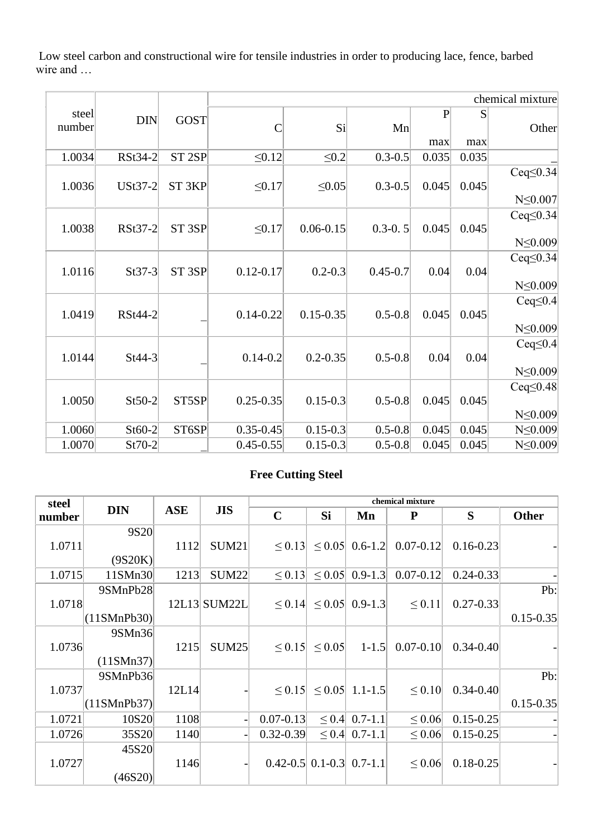Low steel carbon and constructional wire for tensile industries in order to producing lace, fence, barbed wire and …

|                 |            |                   |               |               |              |              |       | chemical mixture                 |
|-----------------|------------|-------------------|---------------|---------------|--------------|--------------|-------|----------------------------------|
| steel<br>number | <b>DIN</b> | <b>GOST</b>       | C             | $\vert$ Si    | Mn           | $\mathbf{P}$ | S     | Other                            |
|                 |            |                   |               |               |              | max          | max   |                                  |
| 1.0034          | RSt34-2    | ST <sub>2SP</sub> | $\leq 0.12$   | $\leq 0.2$    | $0.3 - 0.5$  | 0.035        | 0.035 |                                  |
| 1.0036          | USt37-2    | ST <sub>3KP</sub> | $\leq 0.17$   | $\leq 0.05$   | $0.3 - 0.5$  | 0.045        | 0.045 | $Ceq \leq 0.34$                  |
|                 |            |                   |               |               |              |              |       | $N \leq 0.007$                   |
| 1.0038          | RSt37-2    | ST <sub>3SP</sub> | $\leq 0.17$   | $0.06 - 0.15$ | $0.3 - 0.5$  | 0.045        | 0.045 | $Ceq \leq 0.34$                  |
|                 |            |                   |               |               |              |              |       | $N \leq 0.009$                   |
| 1.0116          | $St37-3$   | ST <sub>3SP</sub> | $0.12 - 0.17$ | $0.2 - 0.3$   | $0.45 - 0.7$ | 0.04         | 0.04  | $Ceq\leq 0.34$<br>$N \leq 0.009$ |
|                 |            |                   |               |               |              |              |       |                                  |
| 1.0419          | RSt44-2    |                   | $0.14 - 0.22$ | $0.15 - 0.35$ | $0.5 - 0.8$  | 0.045        | 0.045 | $Ceq\leq 0.4$                    |
|                 |            |                   |               |               |              |              |       | $N \leq 0.009$                   |
| 1.0144          | $St44-3$   |                   | $0.14 - 0.2$  | $0.2 - 0.35$  | $0.5 - 0.8$  | 0.04         | 0.04  | $Ceq\leq 0.4$<br>$N \leq 0.009$  |
|                 |            |                   |               |               |              |              |       |                                  |
| 1.0050          | $St50-2$   | ST5SP             | $0.25 - 0.35$ | $0.15 - 0.3$  | $0.5 - 0.8$  | 0.045        | 0.045 | $Ceq \le 0.48$                   |
|                 |            |                   |               |               |              |              |       | $N \leq 0.009$                   |
| 1.0060          | $St60-2$   | ST6SP             | $0.35 - 0.45$ | $0.15 - 0.3$  | $0.5 - 0.8$  | 0.045        | 0.045 | $N \leq 0.009$                   |
| 1.0070          | $St70-2$   |                   | $0.45 - 0.55$ | $0.15 - 0.3$  | $0.5 - 0.8$  | 0.045        | 0.045 | $N \leq 0.009$                   |

#### **Free Cutting Steel**

| steel  |                   |            |                   | chemical mixture                 |             |                                 |               |               |               |  |  |
|--------|-------------------|------------|-------------------|----------------------------------|-------------|---------------------------------|---------------|---------------|---------------|--|--|
| number | <b>DIN</b>        | <b>ASE</b> | <b>JIS</b>        | $\mathbf C$                      | <b>Si</b>   | Mn                              | ${\bf P}$     | S             | <b>Other</b>  |  |  |
|        | 9S20              |            |                   |                                  |             |                                 |               |               |               |  |  |
| 1.0711 |                   | 1112       | SUM <sub>21</sub> | $\leq 0.13$                      | $\leq 0.05$ | $0.6 - 1.2$                     | $0.07 - 0.12$ | $0.16 - 0.23$ |               |  |  |
|        | (9S20K)           |            |                   |                                  |             |                                 |               |               |               |  |  |
| 1.0715 | 11SMn30           | 1213       | <b>SUM22</b>      | $\leq 0.13$                      | $\leq 0.05$ | $0.9 - 1.3$                     | $0.07 - 0.12$ | $0.24 - 0.33$ |               |  |  |
|        | 9SMnPb28          |            |                   |                                  |             |                                 |               |               | Pb:           |  |  |
| 1.0718 |                   |            | 12L13 SUM22L      |                                  |             | $\leq$ 0.14 $\leq$ 0.05 0.9-1.3 | $\leq 0.11$   | $0.27 - 0.33$ |               |  |  |
|        | (11SMnPb30)       |            |                   |                                  |             |                                 |               |               | $0.15 - 0.35$ |  |  |
|        | 9SMn36            |            |                   |                                  |             |                                 |               |               |               |  |  |
| 1.0736 |                   | 1215       | <b>SUM25</b>      | $\leq 0.15$                      | $\leq 0.05$ | $1 - 1.5$                       | $0.07 - 0.10$ | $0.34 - 0.40$ |               |  |  |
|        | (11SMn37)         |            |                   |                                  |             |                                 |               |               |               |  |  |
|        | 9SMnPb36          |            |                   |                                  |             |                                 |               |               | Pb:           |  |  |
| 1.0737 |                   | 12L14      |                   |                                  |             | $\leq$ 0.15 $\leq$ 0.05 1.1-1.5 | $\leq 0.10$   | $0.34 - 0.40$ |               |  |  |
|        | (11SMnPb37)       |            |                   |                                  |             |                                 |               |               | $0.15 - 0.35$ |  |  |
| 1.0721 | 10S <sub>20</sub> | 1108       |                   | $0.07 - 0.13$                    |             | $\leq$ 0.4 0.7-1.1              | $\leq 0.06$   | $0.15 - 0.25$ |               |  |  |
| 1.0726 | 35S20             | 1140       |                   | $0.32 - 0.39$                    |             | $\leq$ 0.4 0.7-1.1              | $\leq 0.06$   | $0.15 - 0.25$ |               |  |  |
|        | 45S20             |            |                   |                                  |             |                                 |               |               |               |  |  |
| 1.0727 |                   | 1146       |                   | $0.42 - 0.5$ 0.1 - 0.3 0.7 - 1.1 |             |                                 | $\leq 0.06$   | $0.18 - 0.25$ |               |  |  |
|        | (46S20)           |            |                   |                                  |             |                                 |               |               |               |  |  |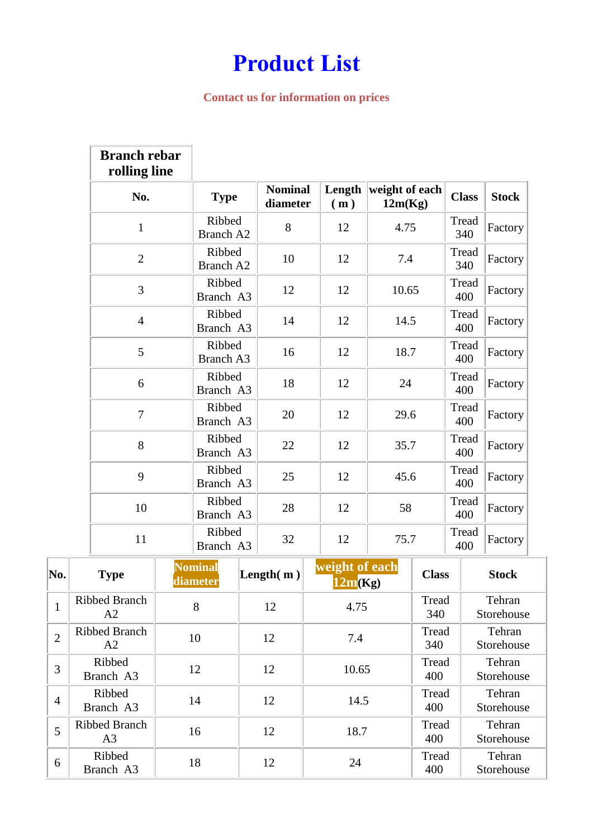## **Product List**

#### **Contact us for information on prices**

|                | <b>Branch rebar</b><br>rolling line    |                            |  |                            |                           |                           |              |              |                      |
|----------------|----------------------------------------|----------------------------|--|----------------------------|---------------------------|---------------------------|--------------|--------------|----------------------|
|                | No.                                    | <b>Type</b>                |  | <b>Nominal</b><br>diameter | Length<br>(m)             | weight of each<br>12m(Kg) |              | <b>Class</b> | <b>Stock</b>         |
|                | $\mathbf{1}$                           | Ribbed<br><b>Branch A2</b> |  | 8                          | 12                        | 4.75                      |              | Tread<br>340 | Factory              |
|                | $\overline{2}$                         | Ribbed<br><b>Branch A2</b> |  | 10                         | 12                        | 7.4                       |              | Tread<br>340 | Factory              |
|                | 3                                      | Ribbed<br>Branch A3        |  | 12                         | 12                        | 10.65                     |              | Tread<br>400 | Factory              |
|                | $\overline{4}$                         | Ribbed<br>Branch A3        |  | 14                         | 12                        | 14.5                      |              | Tread<br>400 | Factory              |
|                | 5                                      | Ribbed<br>Branch A3        |  | 16                         | 12                        | 18.7                      |              | Tread<br>400 | Factory              |
|                | 6                                      | Ribbed<br>Branch A3        |  | 18                         | 12                        | 24                        |              | Tread<br>400 | Factory              |
|                | $\overline{7}$                         | Ribbed<br>Branch A3        |  | 20                         | 12                        | 29.6                      |              | Tread<br>400 | Factory              |
|                | 8                                      | Ribbed<br>Branch A3        |  | 22                         | 12                        | 35.7                      |              | Tread<br>400 | Factory              |
|                | 9                                      | Ribbed<br>Branch A3        |  | 25                         | 12                        | 45.6                      |              | Tread<br>400 | Factory              |
|                | 10                                     | Ribbed<br>Branch A3        |  | 28                         | 12                        | 58                        |              | Tread<br>400 | Factory              |
|                | 11                                     | Ribbed<br>Branch A3        |  | 32                         | 12                        | 75.7                      |              | Tread<br>400 | Factory              |
| No.            | <b>Type</b>                            | <b>Nominal</b><br>diameter |  | Length $(m)$               | weight of each<br>12m(Kg) |                           | <b>Class</b> |              | <b>Stock</b>         |
| $\mathbf{1}$   | Ribbed Branch<br>A2                    | 8                          |  | 12                         | 4.75                      |                           | Tread<br>340 |              | Tehran<br>Storehouse |
| $\overline{2}$ | <b>Ribbed Branch</b><br>A2             | 10                         |  | 12                         | 7.4                       |                           | Tread<br>340 |              | Tehran<br>Storehouse |
| 3              | Ribbed<br>Branch A3                    | 12                         |  | 12                         | 10.65                     |                           | Tread<br>400 |              | Tehran<br>Storehouse |
| $\overline{4}$ | Ribbed<br>Branch A3                    | 14                         |  | 12                         | 14.5                      |                           | Tread<br>400 |              | Tehran<br>Storehouse |
| 5              | <b>Ribbed Branch</b><br>A <sub>3</sub> | 16                         |  | 12                         | 18.7                      |                           | Tread<br>400 |              | Tehran<br>Storehouse |
|                | Ribbed                                 |                            |  |                            |                           |                           | Tread        |              | Tehran               |

Ribbed<br>Branch A3 18 12 24 Tread<br>400

400

Storehouse

6